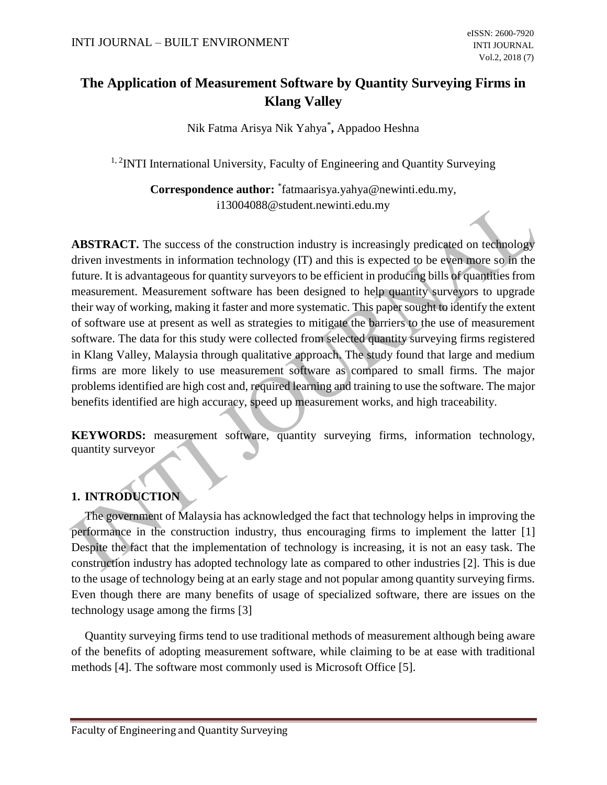# **The Application of Measurement Software by Quantity Surveying Firms in Klang Valley**

Nik Fatma Arisya Nik Yahya\* **,** Appadoo Heshna

<sup>1, 2</sup>INTI International University, Faculty of Engineering and Quantity Surveying

**Correspondence author:** \* fatmaarisya.yahya@newinti.edu.my, i13004088@student.newinti.edu.my

**ABSTRACT.** The success of the construction industry is increasingly predicated on technology driven investments in information technology (IT) and this is expected to be even more so in the future. It is advantageous for quantity surveyors to be efficient in producing bills of quantities from measurement. Measurement software has been designed to help quantity surveyors to upgrade their way of working, making it faster and more systematic. This paper sought to identify the extent of software use at present as well as strategies to mitigate the barriers to the use of measurement software. The data for this study were collected from selected quantity surveying firms registered in Klang Valley, Malaysia through qualitative approach. The study found that large and medium firms are more likely to use measurement software as compared to small firms. The major problems identified are high cost and, required learning and training to use the software. The major benefits identified are high accuracy, speed up measurement works, and high traceability.

**KEYWORDS:** measurement software, quantity surveying firms, information technology, quantity surveyor

## **1. INTRODUCTION**

The government of Malaysia has acknowledged the fact that technology helps in improving the performance in the construction industry, thus encouraging firms to implement the latter [1] Despite the fact that the implementation of technology is increasing, it is not an easy task. The construction industry has adopted technology late as compared to other industries [2]. This is due to the usage of technology being at an early stage and not popular among quantity surveying firms. Even though there are many benefits of usage of specialized software, there are issues on the technology usage among the firms [3]

Quantity surveying firms tend to use traditional methods of measurement although being aware of the benefits of adopting measurement software, while claiming to be at ease with traditional methods [4]. The software most commonly used is Microsoft Office [5].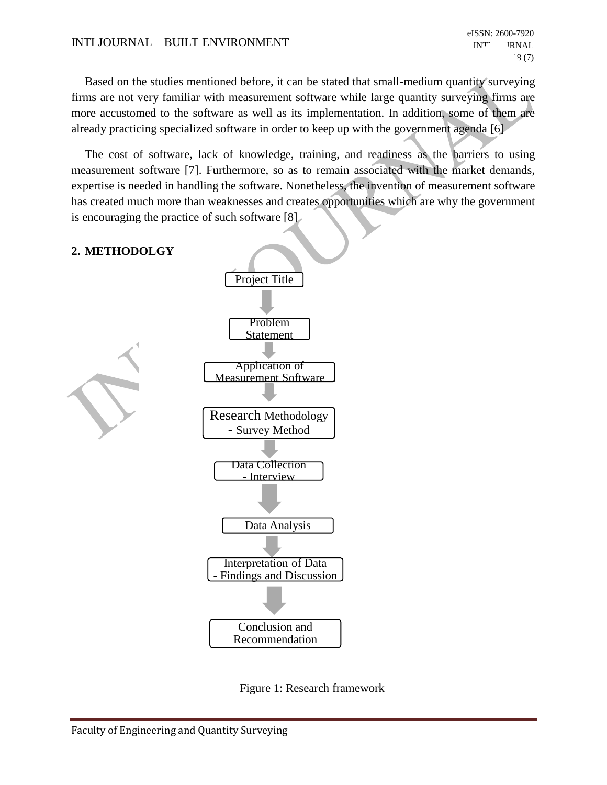#### INTI JOURNAL – BUILT ENVIRONMENT

Based on the studies mentioned before, it can be stated that small-medium quantity surveying firms are not very familiar with measurement software while large quantity surveying firms are more accustomed to the software as well as its implementation. In addition, some of them are already practicing specialized software in order to keep up with the government agenda [6]

The cost of software, lack of knowledge, training, and readiness as the barriers to using measurement software [7]. Furthermore, so as to remain associated with the market demands, expertise is needed in handling the software. Nonetheless, the invention of measurement software has created much more than weaknesses and creates opportunities which are why the government is encouraging the practice of such software [8]



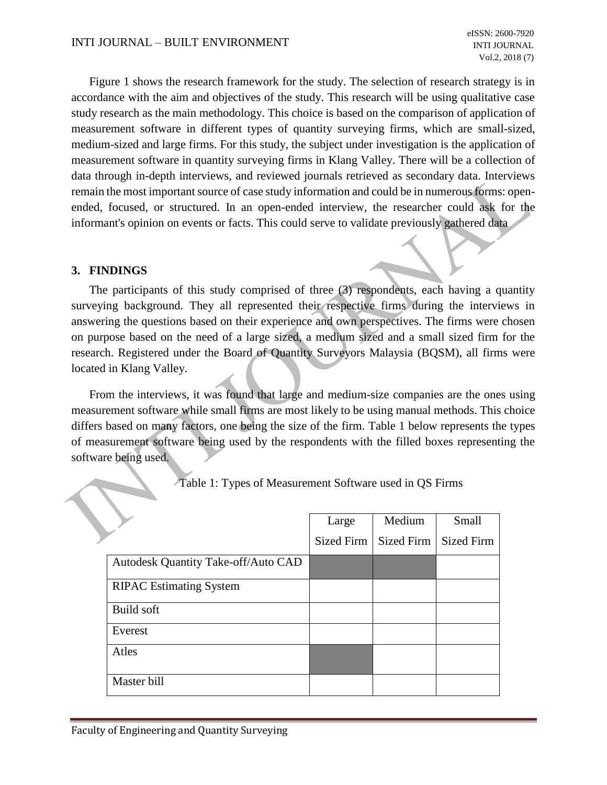Figure 1 shows the research framework for the study. The selection of research strategy is in accordance with the aim and objectives of the study. This research will be using qualitative case study research as the main methodology. This choice is based on the comparison of application of measurement software in different types of quantity surveying firms, which are small-sized, medium-sized and large firms. For this study, the subject under investigation is the application of measurement software in quantity surveying firms in Klang Valley. There will be a collection of data through in-depth interviews, and reviewed journals retrieved as secondary data. Interviews remain the most important source of case study information and could be in numerous forms: openended, focused, or structured. In an open-ended interview, the researcher could ask for the informant's opinion on events or facts. This could serve to validate previously gathered data

### **3. FINDINGS**

The participants of this study comprised of three (3) respondents, each having a quantity surveying background. They all represented their respective firms during the interviews in answering the questions based on their experience and own perspectives. The firms were chosen on purpose based on the need of a large sized, a medium sized and a small sized firm for the research. Registered under the Board of Quantity Surveyors Malaysia (BQSM), all firms were located in Klang Valley.

From the interviews, it was found that large and medium-size companies are the ones using measurement software while small firms are most likely to be using manual methods. This choice differs based on many factors, one being the size of the firm. Table 1 below represents the types of measurement software being used by the respondents with the filled boxes representing the software being used.

|                                     | Large             | Medium     | Small             |
|-------------------------------------|-------------------|------------|-------------------|
|                                     | <b>Sized Firm</b> | Sized Firm | <b>Sized Firm</b> |
| Autodesk Quantity Take-off/Auto CAD |                   |            |                   |
| <b>RIPAC Estimating System</b>      |                   |            |                   |
| Build soft                          |                   |            |                   |
| Everest                             |                   |            |                   |
| Atles                               |                   |            |                   |
| Master bill                         |                   |            |                   |

Table 1: Types of Measurement Software used in QS Firms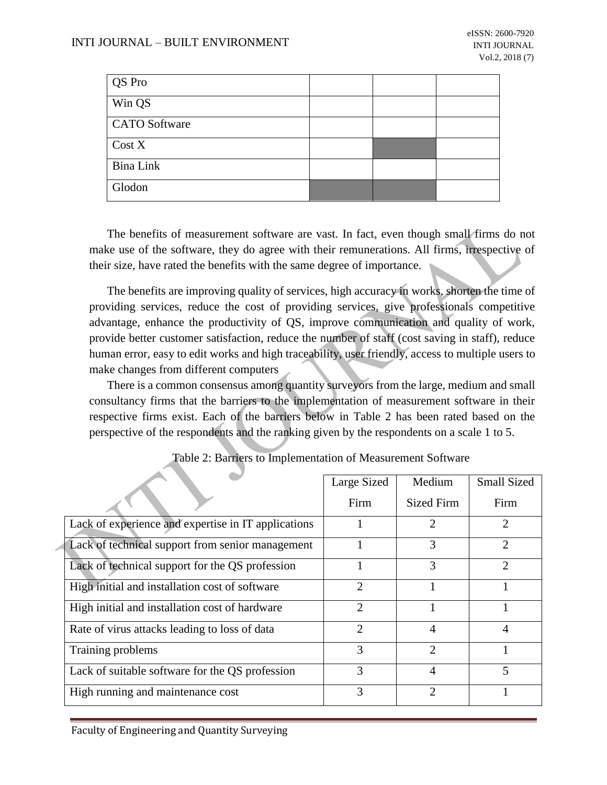| QS Pro               |  |  |
|----------------------|--|--|
| Win QS               |  |  |
| <b>CATO</b> Software |  |  |
| Cost X               |  |  |
| Bina Link            |  |  |
| Glodon               |  |  |

The benefits of measurement software are vast. In fact, even though small firms do not make use of the software, they do agree with their remunerations. All firms, irrespective of their size, have rated the benefits with the same degree of importance.

The benefits are improving quality of services, high accuracy in works, shorten the time of providing services, reduce the cost of providing services, give professionals competitive advantage, enhance the productivity of QS, improve communication and quality of work, provide better customer satisfaction, reduce the number of staff (cost saving in staff), reduce human error, easy to edit works and high traceability, user friendly, access to multiple users to make changes from different computers

There is a common consensus among quantity surveyors from the large, medium and small consultancy firms that the barriers to the implementation of measurement software in their respective firms exist. Each of the barriers below in Table 2 has been rated based on the perspective of the respondents and the ranking given by the respondents on a scale 1 to 5.

|                                                     | Large Sized    | Medium                      | <b>Small Sized</b>          |
|-----------------------------------------------------|----------------|-----------------------------|-----------------------------|
|                                                     | Firm           | Sized Firm                  | Firm                        |
| Lack of experience and expertise in IT applications |                | $\mathcal{D}_{\mathcal{A}}$ | $\mathcal{D}_{\mathcal{A}}$ |
| Lack of technical support from senior management    |                | 3                           | $\mathcal{D}_{\mathcal{L}}$ |
| Lack of technical support for the QS profession     |                | 3                           | っ                           |
| High initial and installation cost of software      | $\overline{c}$ |                             |                             |
| High initial and installation cost of hardware      | 2              |                             |                             |
| Rate of virus attacks leading to loss of data       | 2              | 4                           |                             |
| Training problems                                   | 3              | $\mathcal{D}$               |                             |
| Lack of suitable software for the QS profession     | 3              | 4                           | 5                           |
| High running and maintenance cost                   | 3              | $\mathfrak{D}$              |                             |

Table 2: Barriers to Implementation of Measurement Software

Faculty of Engineering and Quantity Surveying